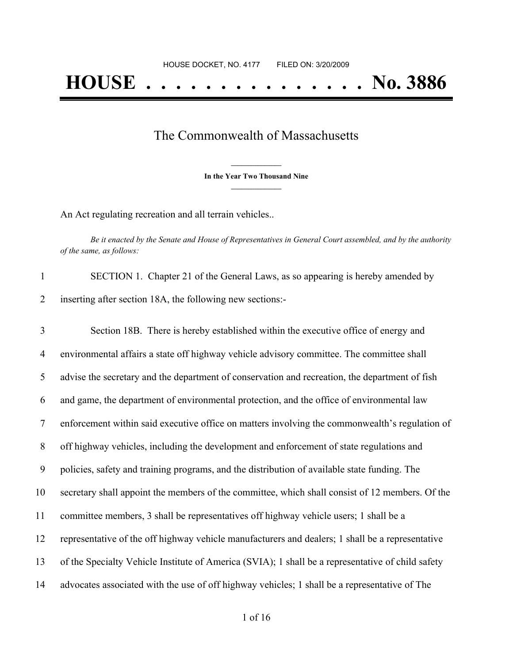## The Commonwealth of Massachusetts

**\_\_\_\_\_\_\_\_\_\_\_\_\_\_\_ In the Year Two Thousand Nine \_\_\_\_\_\_\_\_\_\_\_\_\_\_\_**

An Act regulating recreation and all terrain vehicles..

Be it enacted by the Senate and House of Representatives in General Court assembled, and by the authority *of the same, as follows:*

| SECTION 1. Chapter 21 of the General Laws, as so appearing is hereby amended by |
|---------------------------------------------------------------------------------|
| inserting after section 18A, the following new sections:-                       |

 Section 18B. There is hereby established within the executive office of energy and environmental affairs a state off highway vehicle advisory committee. The committee shall advise the secretary and the department of conservation and recreation, the department of fish and game, the department of environmental protection, and the office of environmental law enforcement within said executive office on matters involving the commonwealth's regulation of off highway vehicles, including the development and enforcement of state regulations and policies, safety and training programs, and the distribution of available state funding. The secretary shall appoint the members of the committee, which shall consist of 12 members. Of the committee members, 3 shall be representatives off highway vehicle users; 1 shall be a representative of the off highway vehicle manufacturers and dealers; 1 shall be a representative of the Specialty Vehicle Institute of America (SVIA); 1 shall be a representative of child safety advocates associated with the use of off highway vehicles; 1 shall be a representative of The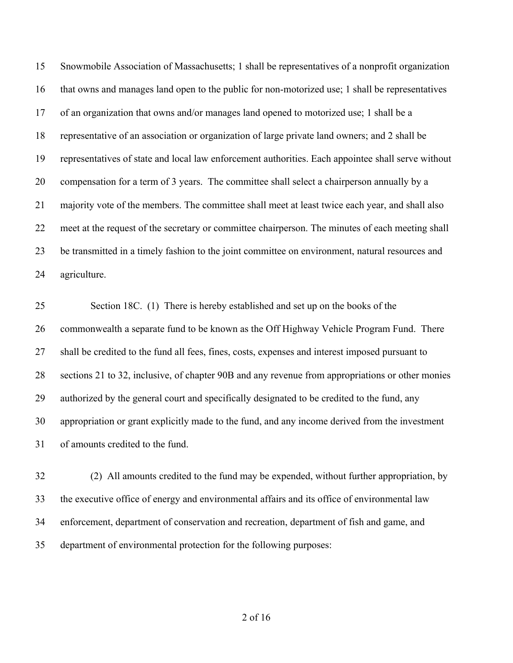Snowmobile Association of Massachusetts; 1 shall be representatives of a nonprofit organization that owns and manages land open to the public for non-motorized use; 1 shall be representatives of an organization that owns and/or manages land opened to motorized use; 1 shall be a representative of an association or organization of large private land owners; and 2 shall be representatives of state and local law enforcement authorities. Each appointee shall serve without compensation for a term of 3 years. The committee shall select a chairperson annually by a majority vote of the members. The committee shall meet at least twice each year, and shall also meet at the request of the secretary or committee chairperson. The minutes of each meeting shall be transmitted in a timely fashion to the joint committee on environment, natural resources and agriculture.

 Section 18C. (1) There is hereby established and set up on the books of the commonwealth a separate fund to be known as the Off Highway Vehicle Program Fund. There shall be credited to the fund all fees, fines, costs, expenses and interest imposed pursuant to sections 21 to 32, inclusive, of chapter 90B and any revenue from appropriations or other monies authorized by the general court and specifically designated to be credited to the fund, any appropriation or grant explicitly made to the fund, and any income derived from the investment of amounts credited to the fund.

 (2) All amounts credited to the fund may be expended, without further appropriation, by the executive office of energy and environmental affairs and its office of environmental law enforcement, department of conservation and recreation, department of fish and game, and department of environmental protection for the following purposes: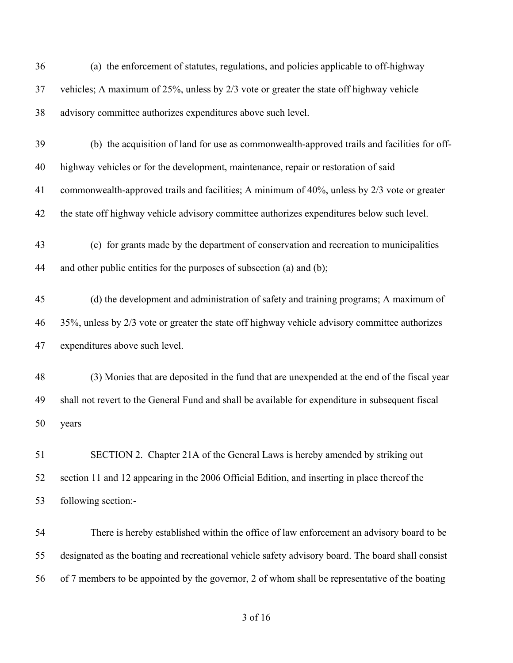| 36 | (a) the enforcement of statutes, regulations, and policies applicable to off-highway              |
|----|---------------------------------------------------------------------------------------------------|
| 37 | vehicles; A maximum of 25%, unless by 2/3 vote or greater the state off highway vehicle           |
| 38 | advisory committee authorizes expenditures above such level.                                      |
| 39 | (b) the acquisition of land for use as commonwealth-approved trails and facilities for off-       |
| 40 | highway vehicles or for the development, maintenance, repair or restoration of said               |
| 41 | commonwealth-approved trails and facilities; A minimum of 40%, unless by 2/3 vote or greater      |
| 42 | the state off highway vehicle advisory committee authorizes expenditures below such level.        |
| 43 | (c) for grants made by the department of conservation and recreation to municipalities            |
| 44 | and other public entities for the purposes of subsection (a) and (b);                             |
| 45 | (d) the development and administration of safety and training programs; A maximum of              |
| 46 | 35%, unless by 2/3 vote or greater the state off highway vehicle advisory committee authorizes    |
| 47 | expenditures above such level.                                                                    |
| 48 | (3) Monies that are deposited in the fund that are unexpended at the end of the fiscal year       |
| 49 | shall not revert to the General Fund and shall be available for expenditure in subsequent fiscal  |
| 50 | years                                                                                             |
| 51 | SECTION 2. Chapter 21A of the General Laws is hereby amended by striking out                      |
| 52 | section 11 and 12 appearing in the 2006 Official Edition, and inserting in place thereof the      |
| 53 | following section:-                                                                               |
| 54 | There is hereby established within the office of law enforcement an advisory board to be          |
| 55 | designated as the boating and recreational vehicle safety advisory board. The board shall consist |
| 56 | of 7 members to be appointed by the governor, 2 of whom shall be representative of the boating    |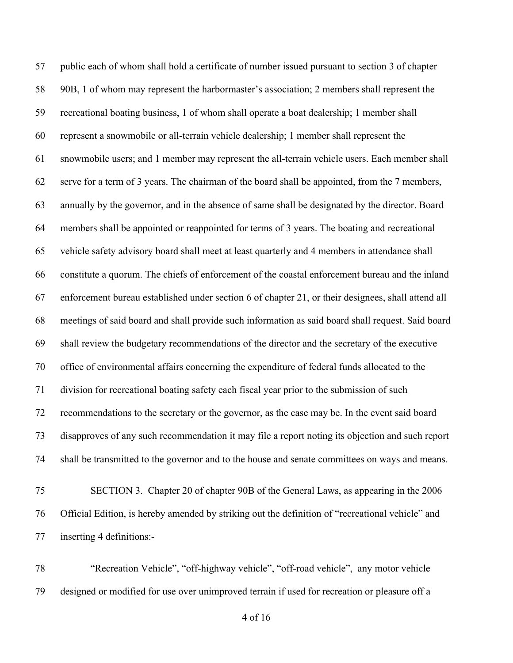public each of whom shall hold a certificate of number issued pursuant to section 3 of chapter 90B, 1 of whom may represent the harbormaster's association; 2 members shall represent the recreational boating business, 1 of whom shall operate a boat dealership; 1 member shall represent a snowmobile or all-terrain vehicle dealership; 1 member shall represent the snowmobile users; and 1 member may represent the all-terrain vehicle users. Each member shall serve for a term of 3 years. The chairman of the board shall be appointed, from the 7 members, annually by the governor, and in the absence of same shall be designated by the director. Board members shall be appointed or reappointed for terms of 3 years. The boating and recreational vehicle safety advisory board shall meet at least quarterly and 4 members in attendance shall constitute a quorum. The chiefs of enforcement of the coastal enforcement bureau and the inland enforcement bureau established under section 6 of chapter 21, or their designees, shall attend all meetings of said board and shall provide such information as said board shall request. Said board shall review the budgetary recommendations of the director and the secretary of the executive office of environmental affairs concerning the expenditure of federal funds allocated to the division for recreational boating safety each fiscal year prior to the submission of such recommendations to the secretary or the governor, as the case may be. In the event said board disapproves of any such recommendation it may file a report noting its objection and such report shall be transmitted to the governor and to the house and senate committees on ways and means.

- SECTION 3. Chapter 20 of chapter 90B of the General Laws, as appearing in the 2006 Official Edition, is hereby amended by striking out the definition of "recreational vehicle" and inserting 4 definitions:-
- "Recreation Vehicle", "off-highway vehicle", "off-road vehicle", any motor vehicle designed or modified for use over unimproved terrain if used for recreation or pleasure off a

of 16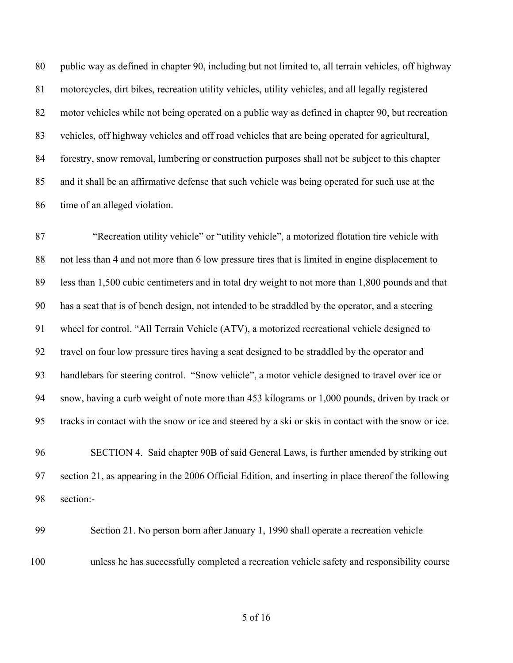public way as defined in chapter 90, including but not limited to, all terrain vehicles, off highway motorcycles, dirt bikes, recreation utility vehicles, utility vehicles, and all legally registered motor vehicles while not being operated on a public way as defined in chapter 90, but recreation vehicles, off highway vehicles and off road vehicles that are being operated for agricultural, forestry, snow removal, lumbering or construction purposes shall not be subject to this chapter and it shall be an affirmative defense that such vehicle was being operated for such use at the time of an alleged violation.

 "Recreation utility vehicle" or "utility vehicle", a motorized flotation tire vehicle with not less than 4 and not more than 6 low pressure tires that is limited in engine displacement to less than 1,500 cubic centimeters and in total dry weight to not more than 1,800 pounds and that has a seat that is of bench design, not intended to be straddled by the operator, and a steering wheel for control. "All Terrain Vehicle (ATV), a motorized recreational vehicle designed to travel on four low pressure tires having a seat designed to be straddled by the operator and handlebars for steering control. "Snow vehicle", a motor vehicle designed to travel over ice or snow, having a curb weight of note more than 453 kilograms or 1,000 pounds, driven by track or tracks in contact with the snow or ice and steered by a ski or skis in contact with the snow or ice.

 SECTION 4. Said chapter 90B of said General Laws, is further amended by striking out section 21, as appearing in the 2006 Official Edition, and inserting in place thereof the following section:-

 Section 21. No person born after January 1, 1990 shall operate a recreation vehicle unless he has successfully completed a recreation vehicle safety and responsibility course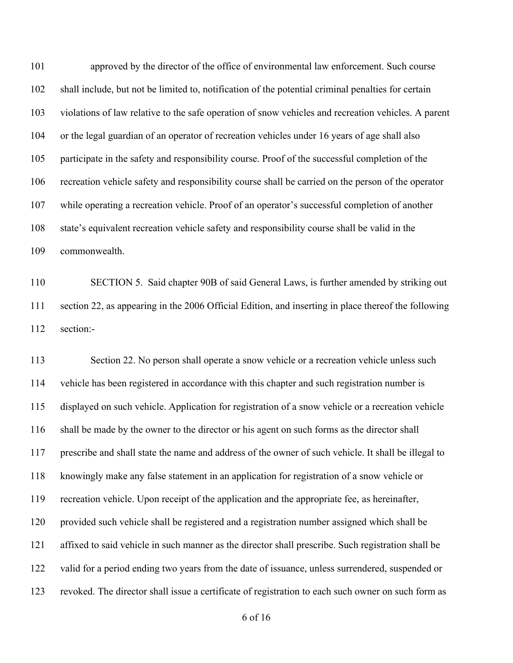approved by the director of the office of environmental law enforcement. Such course shall include, but not be limited to, notification of the potential criminal penalties for certain violations of law relative to the safe operation of snow vehicles and recreation vehicles. A parent or the legal guardian of an operator of recreation vehicles under 16 years of age shall also participate in the safety and responsibility course. Proof of the successful completion of the recreation vehicle safety and responsibility course shall be carried on the person of the operator while operating a recreation vehicle. Proof of an operator's successful completion of another state's equivalent recreation vehicle safety and responsibility course shall be valid in the commonwealth.

 SECTION 5. Said chapter 90B of said General Laws, is further amended by striking out section 22, as appearing in the 2006 Official Edition, and inserting in place thereof the following section:-

 Section 22. No person shall operate a snow vehicle or a recreation vehicle unless such vehicle has been registered in accordance with this chapter and such registration number is displayed on such vehicle. Application for registration of a snow vehicle or a recreation vehicle shall be made by the owner to the director or his agent on such forms as the director shall prescribe and shall state the name and address of the owner of such vehicle. It shall be illegal to knowingly make any false statement in an application for registration of a snow vehicle or recreation vehicle. Upon receipt of the application and the appropriate fee, as hereinafter, provided such vehicle shall be registered and a registration number assigned which shall be affixed to said vehicle in such manner as the director shall prescribe. Such registration shall be valid for a period ending two years from the date of issuance, unless surrendered, suspended or revoked. The director shall issue a certificate of registration to each such owner on such form as

of 16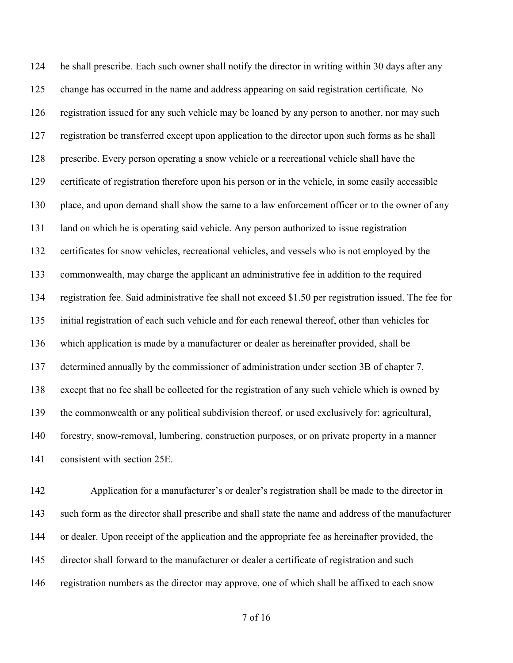he shall prescribe. Each such owner shall notify the director in writing within 30 days after any change has occurred in the name and address appearing on said registration certificate. No registration issued for any such vehicle may be loaned by any person to another, nor may such registration be transferred except upon application to the director upon such forms as he shall prescribe. Every person operating a snow vehicle or a recreational vehicle shall have the certificate of registration therefore upon his person or in the vehicle, in some easily accessible place, and upon demand shall show the same to a law enforcement officer or to the owner of any land on which he is operating said vehicle. Any person authorized to issue registration certificates for snow vehicles, recreational vehicles, and vessels who is not employed by the commonwealth, may charge the applicant an administrative fee in addition to the required registration fee. Said administrative fee shall not exceed \$1.50 per registration issued. The fee for initial registration of each such vehicle and for each renewal thereof, other than vehicles for which application is made by a manufacturer or dealer as hereinafter provided, shall be determined annually by the commissioner of administration under section 3B of chapter 7, except that no fee shall be collected for the registration of any such vehicle which is owned by the commonwealth or any political subdivision thereof, or used exclusively for: agricultural, forestry, snow-removal, lumbering, construction purposes, or on private property in a manner consistent with section 25E.

 Application for a manufacturer's or dealer's registration shall be made to the director in such form as the director shall prescribe and shall state the name and address of the manufacturer or dealer. Upon receipt of the application and the appropriate fee as hereinafter provided, the director shall forward to the manufacturer or dealer a certificate of registration and such registration numbers as the director may approve, one of which shall be affixed to each snow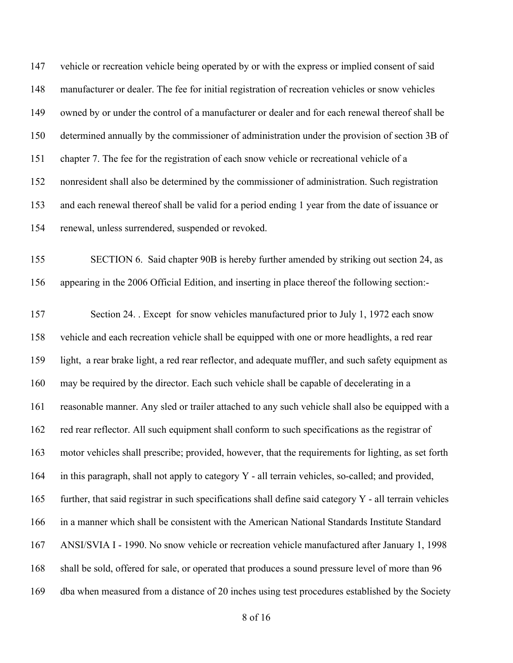147 vehicle or recreation vehicle being operated by or with the express or implied consent of said manufacturer or dealer. The fee for initial registration of recreation vehicles or snow vehicles owned by or under the control of a manufacturer or dealer and for each renewal thereof shall be determined annually by the commissioner of administration under the provision of section 3B of chapter 7. The fee for the registration of each snow vehicle or recreational vehicle of a nonresident shall also be determined by the commissioner of administration. Such registration and each renewal thereof shall be valid for a period ending 1 year from the date of issuance or renewal, unless surrendered, suspended or revoked.

 SECTION 6. Said chapter 90B is hereby further amended by striking out section 24, as appearing in the 2006 Official Edition, and inserting in place thereof the following section:-

 Section 24. . Except for snow vehicles manufactured prior to July 1, 1972 each snow vehicle and each recreation vehicle shall be equipped with one or more headlights, a red rear light, a rear brake light, a red rear reflector, and adequate muffler, and such safety equipment as may be required by the director. Each such vehicle shall be capable of decelerating in a reasonable manner. Any sled or trailer attached to any such vehicle shall also be equipped with a red rear reflector. All such equipment shall conform to such specifications as the registrar of motor vehicles shall prescribe; provided, however, that the requirements for lighting, as set forth in this paragraph, shall not apply to category Y - all terrain vehicles, so-called; and provided, further, that said registrar in such specifications shall define said category Y - all terrain vehicles in a manner which shall be consistent with the American National Standards Institute Standard ANSI/SVIA I - 1990. No snow vehicle or recreation vehicle manufactured after January 1, 1998 shall be sold, offered for sale, or operated that produces a sound pressure level of more than 96 dba when measured from a distance of 20 inches using test procedures established by the Society

of 16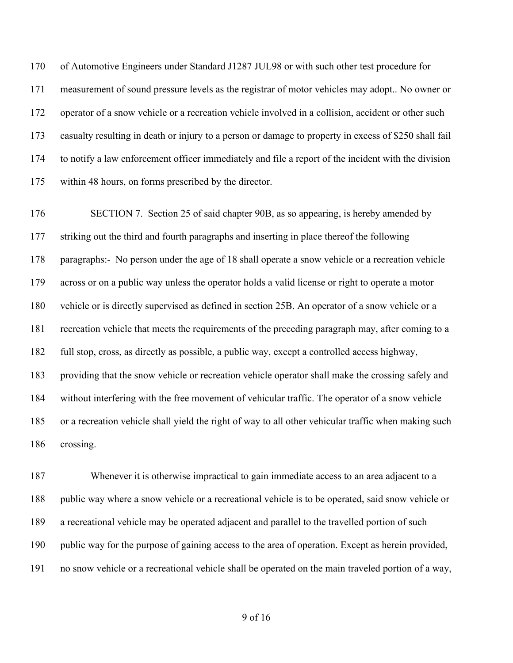of Automotive Engineers under Standard J1287 JUL98 or with such other test procedure for measurement of sound pressure levels as the registrar of motor vehicles may adopt.. No owner or operator of a snow vehicle or a recreation vehicle involved in a collision, accident or other such casualty resulting in death or injury to a person or damage to property in excess of \$250 shall fail to notify a law enforcement officer immediately and file a report of the incident with the division within 48 hours, on forms prescribed by the director.

176 SECTION 7. Section 25 of said chapter 90B, as so appearing, is hereby amended by striking out the third and fourth paragraphs and inserting in place thereof the following paragraphs:- No person under the age of 18 shall operate a snow vehicle or a recreation vehicle across or on a public way unless the operator holds a valid license or right to operate a motor vehicle or is directly supervised as defined in section 25B. An operator of a snow vehicle or a recreation vehicle that meets the requirements of the preceding paragraph may, after coming to a full stop, cross, as directly as possible, a public way, except a controlled access highway, providing that the snow vehicle or recreation vehicle operator shall make the crossing safely and without interfering with the free movement of vehicular traffic. The operator of a snow vehicle or a recreation vehicle shall yield the right of way to all other vehicular traffic when making such crossing.

 Whenever it is otherwise impractical to gain immediate access to an area adjacent to a public way where a snow vehicle or a recreational vehicle is to be operated, said snow vehicle or a recreational vehicle may be operated adjacent and parallel to the travelled portion of such public way for the purpose of gaining access to the area of operation. Except as herein provided, no snow vehicle or a recreational vehicle shall be operated on the main traveled portion of a way,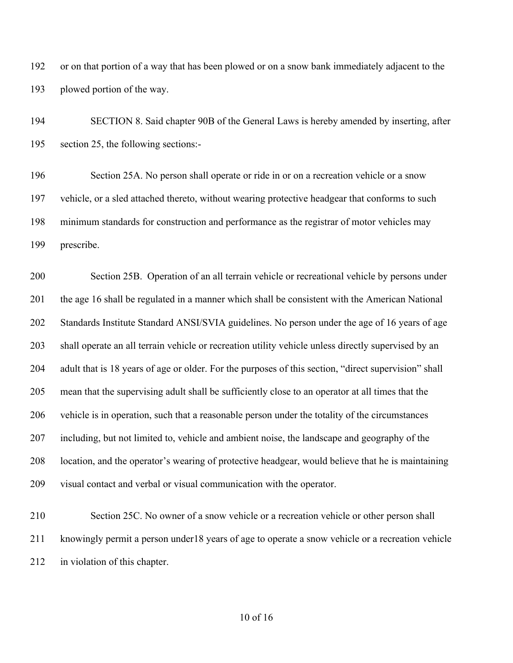or on that portion of a way that has been plowed or on a snow bank immediately adjacent to the plowed portion of the way.

 SECTION 8. Said chapter 90B of the General Laws is hereby amended by inserting, after section 25, the following sections:-

 Section 25A. No person shall operate or ride in or on a recreation vehicle or a snow vehicle, or a sled attached thereto, without wearing protective headgear that conforms to such minimum standards for construction and performance as the registrar of motor vehicles may prescribe.

 Section 25B. Operation of an all terrain vehicle or recreational vehicle by persons under 201 the age 16 shall be regulated in a manner which shall be consistent with the American National Standards Institute Standard ANSI/SVIA guidelines. No person under the age of 16 years of age shall operate an all terrain vehicle or recreation utility vehicle unless directly supervised by an adult that is 18 years of age or older. For the purposes of this section, "direct supervision" shall mean that the supervising adult shall be sufficiently close to an operator at all times that the vehicle is in operation, such that a reasonable person under the totality of the circumstances including, but not limited to, vehicle and ambient noise, the landscape and geography of the location, and the operator's wearing of protective headgear, would believe that he is maintaining visual contact and verbal or visual communication with the operator.

 Section 25C. No owner of a snow vehicle or a recreation vehicle or other person shall knowingly permit a person under18 years of age to operate a snow vehicle or a recreation vehicle in violation of this chapter.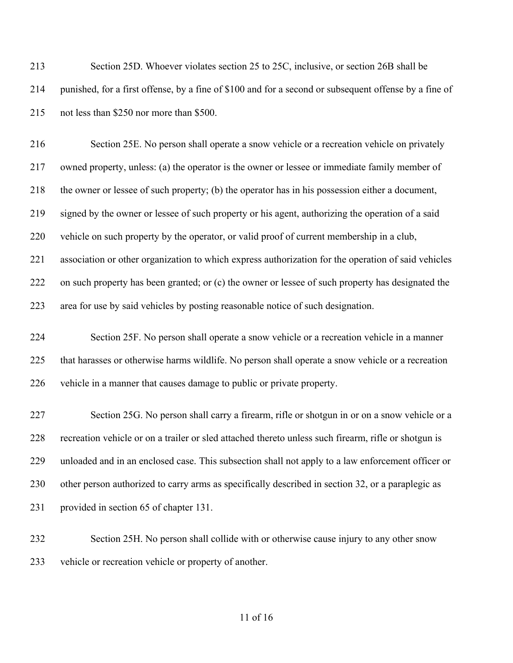Section 25D. Whoever violates section 25 to 25C, inclusive, or section 26B shall be punished, for a first offense, by a fine of \$100 and for a second or subsequent offense by a fine of not less than \$250 nor more than \$500.

 Section 25E. No person shall operate a snow vehicle or a recreation vehicle on privately owned property, unless: (a) the operator is the owner or lessee or immediate family member of the owner or lessee of such property; (b) the operator has in his possession either a document, signed by the owner or lessee of such property or his agent, authorizing the operation of a said vehicle on such property by the operator, or valid proof of current membership in a club, association or other organization to which express authorization for the operation of said vehicles on such property has been granted; or (c) the owner or lessee of such property has designated the area for use by said vehicles by posting reasonable notice of such designation.

 Section 25F. No person shall operate a snow vehicle or a recreation vehicle in a manner that harasses or otherwise harms wildlife. No person shall operate a snow vehicle or a recreation vehicle in a manner that causes damage to public or private property.

 Section 25G. No person shall carry a firearm, rifle or shotgun in or on a snow vehicle or a recreation vehicle or on a trailer or sled attached thereto unless such firearm, rifle or shotgun is unloaded and in an enclosed case. This subsection shall not apply to a law enforcement officer or other person authorized to carry arms as specifically described in section 32, or a paraplegic as provided in section 65 of chapter 131.

 Section 25H. No person shall collide with or otherwise cause injury to any other snow vehicle or recreation vehicle or property of another.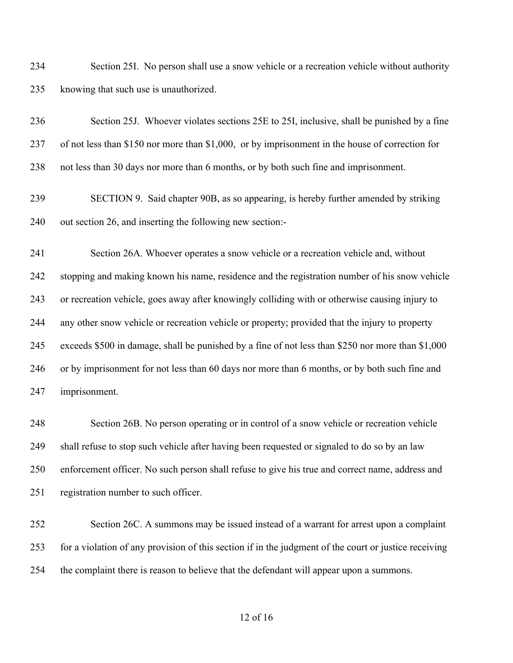Section 25I. No person shall use a snow vehicle or a recreation vehicle without authority knowing that such use is unauthorized.

 Section 25J. Whoever violates sections 25E to 25I, inclusive, shall be punished by a fine of not less than \$150 nor more than \$1,000, or by imprisonment in the house of correction for not less than 30 days nor more than 6 months, or by both such fine and imprisonment.

 SECTION 9. Said chapter 90B, as so appearing, is hereby further amended by striking out section 26, and inserting the following new section:-

 Section 26A. Whoever operates a snow vehicle or a recreation vehicle and, without stopping and making known his name, residence and the registration number of his snow vehicle or recreation vehicle, goes away after knowingly colliding with or otherwise causing injury to any other snow vehicle or recreation vehicle or property; provided that the injury to property exceeds \$500 in damage, shall be punished by a fine of not less than \$250 nor more than \$1,000 or by imprisonment for not less than 60 days nor more than 6 months, or by both such fine and imprisonment.

 Section 26B. No person operating or in control of a snow vehicle or recreation vehicle shall refuse to stop such vehicle after having been requested or signaled to do so by an law enforcement officer. No such person shall refuse to give his true and correct name, address and registration number to such officer.

 Section 26C. A summons may be issued instead of a warrant for arrest upon a complaint for a violation of any provision of this section if in the judgment of the court or justice receiving the complaint there is reason to believe that the defendant will appear upon a summons.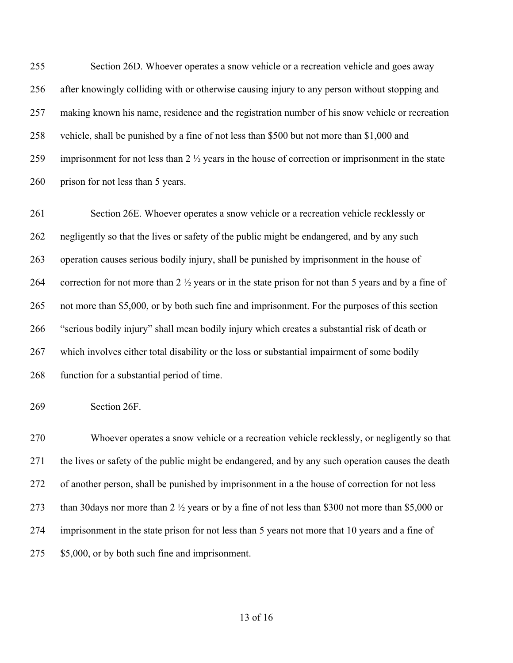Section 26D. Whoever operates a snow vehicle or a recreation vehicle and goes away after knowingly colliding with or otherwise causing injury to any person without stopping and making known his name, residence and the registration number of his snow vehicle or recreation vehicle, shall be punished by a fine of not less than \$500 but not more than \$1,000 and imprisonment for not less than 2 ½ years in the house of correction or imprisonment in the state 260 prison for not less than 5 years.

 Section 26E. Whoever operates a snow vehicle or a recreation vehicle recklessly or 262 negligently so that the lives or safety of the public might be endangered, and by any such operation causes serious bodily injury, shall be punished by imprisonment in the house of correction for not more than 2 ½ years or in the state prison for not than 5 years and by a fine of not more than \$5,000, or by both such fine and imprisonment. For the purposes of this section "serious bodily injury" shall mean bodily injury which creates a substantial risk of death or which involves either total disability or the loss or substantial impairment of some bodily function for a substantial period of time.

Section 26F.

 Whoever operates a snow vehicle or a recreation vehicle recklessly, or negligently so that the lives or safety of the public might be endangered, and by any such operation causes the death of another person, shall be punished by imprisonment in a the house of correction for not less than 30days nor more than 2 ½ years or by a fine of not less than \$300 not more than \$5,000 or imprisonment in the state prison for not less than 5 years not more that 10 years and a fine of 275 \$5,000, or by both such fine and imprisonment.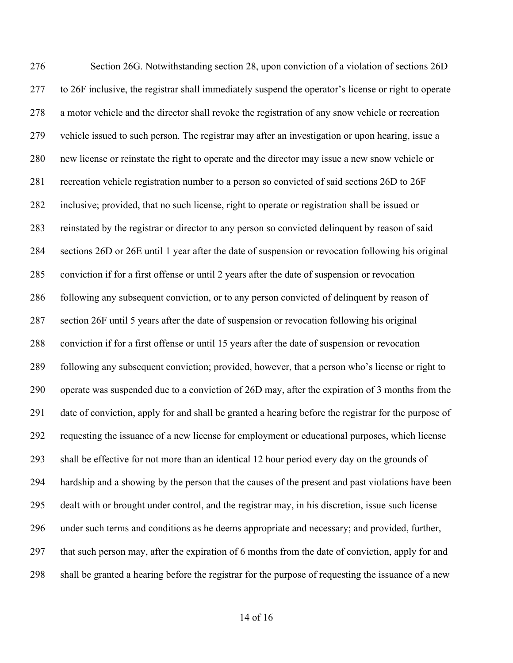Section 26G. Notwithstanding section 28, upon conviction of a violation of sections 26D to 26F inclusive, the registrar shall immediately suspend the operator's license or right to operate a motor vehicle and the director shall revoke the registration of any snow vehicle or recreation vehicle issued to such person. The registrar may after an investigation or upon hearing, issue a new license or reinstate the right to operate and the director may issue a new snow vehicle or recreation vehicle registration number to a person so convicted of said sections 26D to 26F inclusive; provided, that no such license, right to operate or registration shall be issued or reinstated by the registrar or director to any person so convicted delinquent by reason of said sections 26D or 26E until 1 year after the date of suspension or revocation following his original conviction if for a first offense or until 2 years after the date of suspension or revocation following any subsequent conviction, or to any person convicted of delinquent by reason of section 26F until 5 years after the date of suspension or revocation following his original conviction if for a first offense or until 15 years after the date of suspension or revocation following any subsequent conviction; provided, however, that a person who's license or right to operate was suspended due to a conviction of 26D may, after the expiration of 3 months from the date of conviction, apply for and shall be granted a hearing before the registrar for the purpose of requesting the issuance of a new license for employment or educational purposes, which license shall be effective for not more than an identical 12 hour period every day on the grounds of hardship and a showing by the person that the causes of the present and past violations have been dealt with or brought under control, and the registrar may, in his discretion, issue such license under such terms and conditions as he deems appropriate and necessary; and provided, further, that such person may, after the expiration of 6 months from the date of conviction, apply for and shall be granted a hearing before the registrar for the purpose of requesting the issuance of a new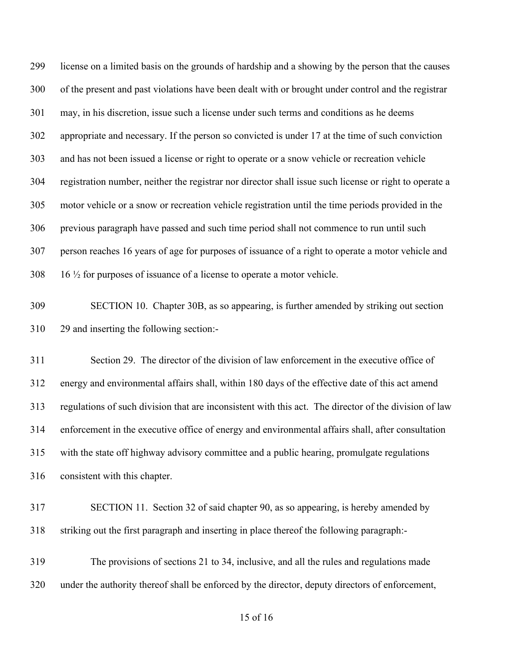license on a limited basis on the grounds of hardship and a showing by the person that the causes of the present and past violations have been dealt with or brought under control and the registrar may, in his discretion, issue such a license under such terms and conditions as he deems appropriate and necessary. If the person so convicted is under 17 at the time of such conviction and has not been issued a license or right to operate or a snow vehicle or recreation vehicle registration number, neither the registrar nor director shall issue such license or right to operate a motor vehicle or a snow or recreation vehicle registration until the time periods provided in the previous paragraph have passed and such time period shall not commence to run until such person reaches 16 years of age for purposes of issuance of a right to operate a motor vehicle and 16  $\frac{1}{2}$  for purposes of issuance of a license to operate a motor vehicle.

 SECTION 10. Chapter 30B, as so appearing, is further amended by striking out section 29 and inserting the following section:-

 Section 29. The director of the division of law enforcement in the executive office of energy and environmental affairs shall, within 180 days of the effective date of this act amend regulations of such division that are inconsistent with this act. The director of the division of law enforcement in the executive office of energy and environmental affairs shall, after consultation with the state off highway advisory committee and a public hearing, promulgate regulations consistent with this chapter.

 SECTION 11. Section 32 of said chapter 90, as so appearing, is hereby amended by striking out the first paragraph and inserting in place thereof the following paragraph:-

 The provisions of sections 21 to 34, inclusive, and all the rules and regulations made under the authority thereof shall be enforced by the director, deputy directors of enforcement,